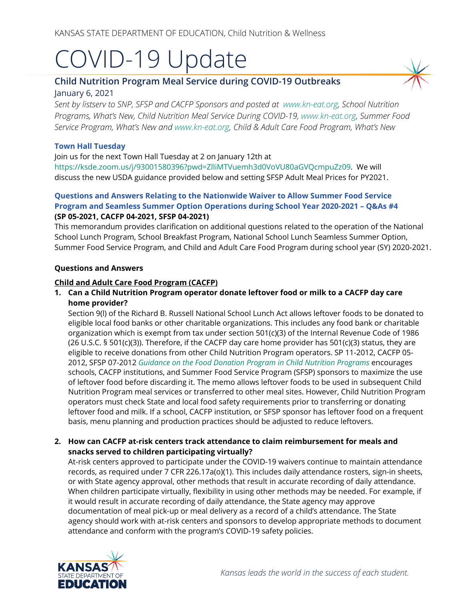# COVID-19 Update

# **Child Nutrition Program Meal Service during COVID-19 Outbreaks** January 6, 2021

*Sent by listserv to SNP, SFSP and CACFP Sponsors and posted at [www.kn-eat.org,](http://www.kn-eat.org/) School Nutrition Programs, What's New, Child Nutrition Meal Service During COVID-19, [www.kn-eat.org,](http://www.kn-eat.org/) Summer Food Service Program, What's New and [www.kn-eat.org,](http://www.kn-eat.org/) Child & Adult Care Food Program, What's New* 

### **Town Hall Tuesday**

Join us for the next Town Hall Tuesday at 2 on January 12th at

[https://ksde.zoom.us/j/93001580396?pwd=ZlliMTVuemh3d0VoVU80aGVQcmpuZz09.](https://ksde.zoom.us/j/93001580396?pwd=ZlliMTVuemh3d0VoVU80aGVQcmpuZz09) We will discuss the new USDA guidance provided below and setting SFSP Adult Meal Prices for PY2021.

# **Questions and Answers Relating to the Nationwide Waiver to Allow Summer Food Service Program and Seamless Summer Option Operations during School Year 2020-2021 – Q&As #4 (SP 05-2021, CACFP 04-2021, SFSP 04-2021)**

This memorandum provides clarification on additional questions related to the operation of the National School Lunch Program, School Breakfast Program, National School Lunch Seamless Summer Option, Summer Food Service Program, and Child and Adult Care Food Program during school year (SY) 2020-2021.

#### **Questions and Answers**

#### **Child and Adult Care Food Program (CACFP)**

# **1. Can a Child Nutrition Program operator donate leftover food or milk to a CACFP day care home provider?**

Section 9(l) of the Richard B. Russell National School Lunch Act allows leftover foods to be donated to eligible local food banks or other charitable organizations. This includes any food bank or charitable organization which is exempt from tax under section 501(c)(3) of the Internal Revenue Code of 1986 (26 U.S.C. § 501(c)(3)). Therefore, if the CACFP day care home provider has 501(c)(3) status, they are eligible to receive donations from other Child Nutrition Program operators. SP 11-2012, CACFP 05- 2012, SFSP 07-2012 *[Guidance on the Food Donation Program in Child Nutrition Programs](https://gcc02.safelinks.protection.outlook.com/?url=https%3A%2F%2Ffns-prod.azureedge.net%2Fsites%2Fdefault%2Ffiles%2Fcn%2FSP11_CACFP05_SFSP07-2012os.pdf&data=02%7C01%7C%7C9a41ed638a264cace2c308d86b9fa4a6%7Ced5b36e701ee4ebc867ee03cfa0d4697%7C0%7C0%7C637377680705380494&sdata=QGI1FpDxVQJiNFA6%2F9lPYmZXuvF5AvSGIERtKTDmRLY%3D&reserved=0)* encourages schools, CACFP institutions, and Summer Food Service Program (SFSP) sponsors to maximize the use of leftover food before discarding it. The memo allows leftover foods to be used in subsequent Child Nutrition Program meal services or transferred to other meal sites. However, Child Nutrition Program operators must check State and local food safety requirements prior to transferring or donating leftover food and milk. If a school, CACFP institution, or SFSP sponsor has leftover food on a frequent basis, menu planning and production practices should be adjusted to reduce leftovers.

# **2. How can CACFP at-risk centers track attendance to claim reimbursement for meals and snacks served to children participating virtually?**

At-risk centers approved to participate under the COVID-19 waivers continue to maintain attendance records, as required under 7 CFR 226.17a(o)(1). This includes daily attendance rosters, sign-in sheets, or with State agency approval, other methods that result in accurate recording of daily attendance. When children participate virtually, flexibility in using other methods may be needed. For example, if it would result in accurate recording of daily attendance, the State agency may approve documentation of meal pick-up or meal delivery as a record of a child's attendance. The State agency should work with at-risk centers and sponsors to develop appropriate methods to document attendance and conform with the program's COVID-19 safety policies.

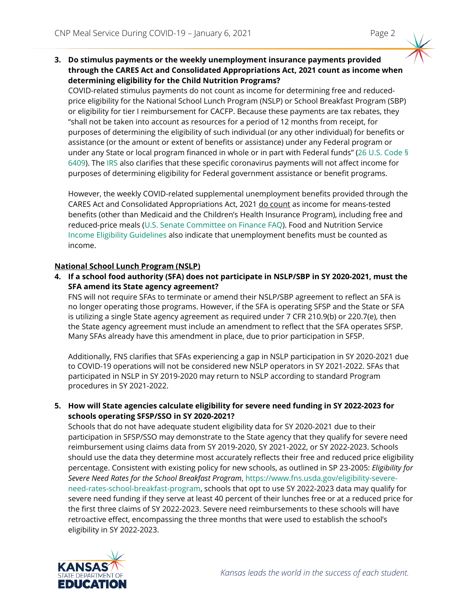**3. Do stimulus payments or the weekly unemployment insurance payments provided through the CARES Act and Consolidated Appropriations Act, 2021 count as income when determining eligibility for the Child Nutrition Programs?** 

COVID-related stimulus payments do not count as income for determining free and reducedprice eligibility for the National School Lunch Program (NSLP) or School Breakfast Program (SBP) or eligibility for tier I reimbursement for CACFP. Because these payments are tax rebates, they "shall not be taken into account as resources for a period of 12 months from receipt, for purposes of determining the eligibility of such individual (or any other individual) for benefits or assistance (or the amount or extent of benefits or assistance) under any Federal program or under any State or local program financed in whole or in part with Federal funds" [\(26 U.S. Code §](https://www.law.cornell.edu/uscode/text/26/6409)  [6409\)](https://www.law.cornell.edu/uscode/text/26/6409). The [IRS](https://www.irs.gov/newsroom/economic-impact-payment-information-center-topic-j-reconciling-on-your-2020-tax-return) also clarifies that these specific coronavirus payments will not affect income for purposes of determining eligibility for Federal government assistance or benefit programs.

However, the weekly COVID-related supplemental unemployment benefits provided through the CARES Act and Consolidated Appropriations Act, 2021 do count as income for means-tested benefits (other than Medicaid and the Children's Health Insurance Program), including free and reduced-price meals [\(U.S. Senate Committee on Finance FAQ\)](https://www.finance.senate.gov/chairmans-news/cares-act-unemployment-insurance-faq#:%7E:text=benefits%20are%20counted%20as%20unearned%20income%20for%20federal,than%20Medicaid%20and%20the%20Children%E2%80%99s%20Health%20Insurance%20Program)). Food and Nutrition Service [Income Eligibility Guidelines](https://www.fns.usda.gov/cn/income-eligibility-guidelines) also indicate that unemployment benefits must be counted as income.

# **National School Lunch Program (NSLP)**

**4. If a school food authority (SFA) does not participate in NSLP/SBP in SY 2020-2021, must the SFA amend its State agency agreement?** 

FNS will not require SFAs to terminate or amend their NSLP/SBP agreement to reflect an SFA is no longer operating those programs. However, if the SFA is operating SFSP and the State or SFA is utilizing a single State agency agreement as required under 7 CFR 210.9(b) or 220.7(e), then the State agency agreement must include an amendment to reflect that the SFA operates SFSP. Many SFAs already have this amendment in place, due to prior participation in SFSP.

Additionally, FNS clarifies that SFAs experiencing a gap in NSLP participation in SY 2020-2021 due to COVID-19 operations will not be considered new NSLP operators in SY 2021-2022. SFAs that participated in NSLP in SY 2019-2020 may return to NSLP according to standard Program procedures in SY 2021-2022.

**5. How will State agencies calculate eligibility for severe need funding in SY 2022-2023 for schools operating SFSP/SSO in SY 2020-2021?**

Schools that do not have adequate student eligibility data for SY 2020-2021 due to their participation in SFSP/SSO may demonstrate to the State agency that they qualify for severe need reimbursement using claims data from SY 2019-2020, SY 2021-2022, or SY 2022-2023. Schools should use the data they determine most accurately reflects their free and reduced price eligibility percentage. Consistent with existing policy for new schools, as outlined in SP 23-2005: *Eligibility for Severe Need Rates for the School Breakfast Program*, [https://www.fns.usda.gov/eligibility-severe](https://www.fns.usda.gov/eligibility-severe-need-rates-school-breakfast-program)[need-rates-school-breakfast-program,](https://www.fns.usda.gov/eligibility-severe-need-rates-school-breakfast-program) schools that opt to use SY 2022-2023 data may qualify for severe need funding if they serve at least 40 percent of their lunches free or at a reduced price for the first three claims of SY 2022-2023. Severe need reimbursements to these schools will have retroactive effect, encompassing the three months that were used to establish the school's eligibility in SY 2022-2023.

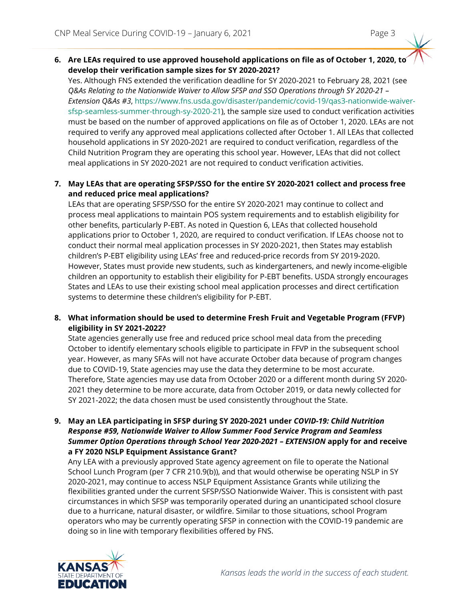**6. Are LEAs required to use approved household applications on file as of October 1, 2020, to develop their verification sample sizes for SY 2020-2021?** 

Yes. Although FNS extended the verification deadline for SY 2020-2021 to February 28, 2021 (see *Q&As Relating to the Nationwide Waiver to Allow SFSP and SSO Operations through SY 2020-21 – Extension Q&As #3*, [https://www.fns.usda.gov/disaster/pandemic/covid-19/qas3-nationwide-waiver](https://www.fns.usda.gov/disaster/pandemic/covid-19/qas3-nationwide-waiver-sfsp-seamless-summer-through-sy-2020-21)[sfsp-seamless-summer-through-sy-2020-21\)](https://www.fns.usda.gov/disaster/pandemic/covid-19/qas3-nationwide-waiver-sfsp-seamless-summer-through-sy-2020-21), the sample size used to conduct verification activities must be based on the number of approved applications on file as of October 1, 2020. LEAs are not required to verify any approved meal applications collected after October 1. All LEAs that collected household applications in SY 2020-2021 are required to conduct verification, regardless of the Child Nutrition Program they are operating this school year. However, LEAs that did not collect meal applications in SY 2020-2021 are not required to conduct verification activities.

# **7. May LEAs that are operating SFSP/SSO for the entire SY 2020-2021 collect and process free and reduced price meal applications?**

LEAs that are operating SFSP/SSO for the entire SY 2020-2021 may continue to collect and process meal applications to maintain POS system requirements and to establish eligibility for other benefits, particularly P-EBT. As noted in Question 6, LEAs that collected household applications prior to October 1, 2020, are required to conduct verification. If LEAs choose not to conduct their normal meal application processes in SY 2020-2021, then States may establish children's P-EBT eligibility using LEAs' free and reduced-price records from SY 2019-2020. However, States must provide new students, such as kindergarteners, and newly income-eligible children an opportunity to establish their eligibility for P-EBT benefits. USDA strongly encourages States and LEAs to use their existing school meal application processes and direct certification systems to determine these children's eligibility for P-EBT.

**8. What information should be used to determine Fresh Fruit and Vegetable Program (FFVP) eligibility in SY 2021-2022?**

State agencies generally use free and reduced price school meal data from the preceding October to identify elementary schools eligible to participate in FFVP in the subsequent school year. However, as many SFAs will not have accurate October data because of program changes due to COVID-19, State agencies may use the data they determine to be most accurate. Therefore, State agencies may use data from October 2020 or a different month during SY 2020- 2021 they determine to be more accurate, data from October 2019, or data newly collected for SY 2021-2022; the data chosen must be used consistently throughout the State.

**9. May an LEA participating in SFSP during SY 2020-2021 under** *COVID-19: Child Nutrition Response #59, Nationwide Waiver to Allow Summer Food Service Program and Seamless Summer Option Operations through School Year 2020-2021 – EXTENSION* **apply for and receive a FY 2020 NSLP Equipment Assistance Grant?** 

Any LEA with a previously approved State agency agreement on file to operate the National School Lunch Program (per 7 CFR 210.9(b)), and that would otherwise be operating NSLP in SY 2020-2021, may continue to access NSLP Equipment Assistance Grants while utilizing the flexibilities granted under the current SFSP/SSO Nationwide Waiver. This is consistent with past circumstances in which SFSP was temporarily operated during an unanticipated school closure due to a hurricane, natural disaster, or wildfire. Similar to those situations, school Program operators who may be currently operating SFSP in connection with the COVID-19 pandemic are doing so in line with temporary flexibilities offered by FNS.

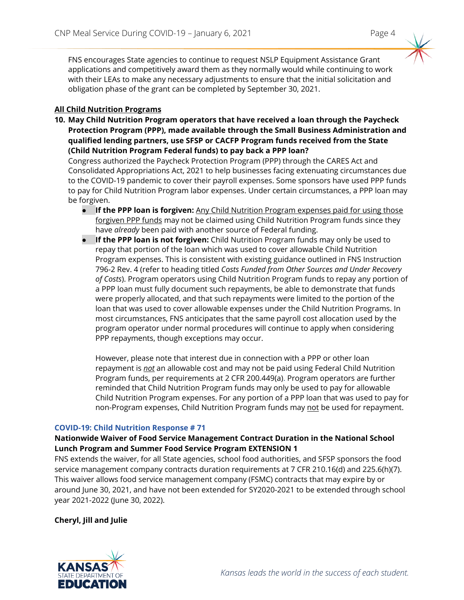FNS encourages State agencies to continue to request NSLP Equipment Assistance Grant applications and competitively award them as they normally would while continuing to work with their LEAs to make any necessary adjustments to ensure that the initial solicitation and obligation phase of the grant can be completed by September 30, 2021.

#### **All Child Nutrition Programs**

**10. May Child Nutrition Program operators that have received a loan through the Paycheck Protection Program (PPP), made available through the Small Business Administration and qualified lending partners, use SFSP or CACFP Program funds received from the State (Child Nutrition Program Federal funds) to pay back a PPP loan?**

Congress authorized the Paycheck Protection Program (PPP) through the CARES Act and Consolidated Appropriations Act, 2021 to help businesses facing extenuating circumstances due to the COVID-19 pandemic to cover their payroll expenses. Some sponsors have used PPP funds to pay for Child Nutrition Program labor expenses. Under certain circumstances, a PPP loan may be forgiven.

- **If the PPP loan is forgiven:** Any Child Nutrition Program expenses paid for using those forgiven PPP funds may not be claimed using Child Nutrition Program funds since they have *already* been paid with another source of Federal funding.
- **If the PPP loan is not forgiven:** Child Nutrition Program funds may only be used to repay that portion of the loan which was used to cover allowable Child Nutrition Program expenses. This is consistent with existing guidance outlined in FNS Instruction 796-2 Rev. 4 (refer to heading titled *Costs Funded from Other Sources and Under Recovery of Costs*). Program operators using Child Nutrition Program funds to repay any portion of a PPP loan must fully document such repayments, be able to demonstrate that funds were properly allocated, and that such repayments were limited to the portion of the loan that was used to cover allowable expenses under the Child Nutrition Programs. In most circumstances, FNS anticipates that the same payroll cost allocation used by the program operator under normal procedures will continue to apply when considering PPP repayments, though exceptions may occur.

However, please note that interest due in connection with a PPP or other loan repayment is *not* an allowable cost and may not be paid using Federal Child Nutrition Program funds, per requirements at 2 CFR 200.449(a). Program operators are further reminded that Child Nutrition Program funds may only be used to pay for allowable Child Nutrition Program expenses. For any portion of a PPP loan that was used to pay for non-Program expenses, Child Nutrition Program funds may not be used for repayment.

#### **COVID-19: Child Nutrition Response # 71**

#### **Nationwide Waiver of Food Service Management Contract Duration in the National School Lunch Program and Summer Food Service Program EXTENSION 1**

FNS extends the waiver, for all State agencies, school food authorities, and SFSP sponsors the food service management company contracts duration requirements at 7 CFR 210.16(d) and 225.6(h)(7). This waiver allows food service management company (FSMC) contracts that may expire by or around June 30, 2021, and have not been extended for SY2020-2021 to be extended through school year 2021-2022 (June 30, 2022).

**Cheryl, Jill and Julie**